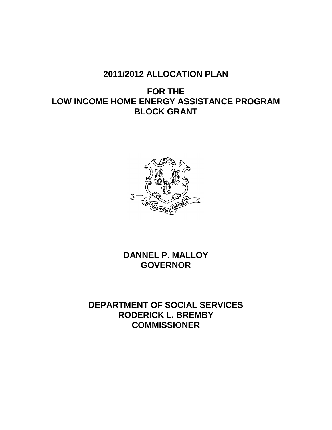# **2011/2012 ALLOCATION PLAN**

**FOR THE LOW INCOME HOME ENERGY ASSISTANCE PROGRAM BLOCK GRANT**



**DANNEL P. MALLOY GOVERNOR**

**DEPARTMENT OF SOCIAL SERVICES RODERICK L. BREMBY COMMISSIONER**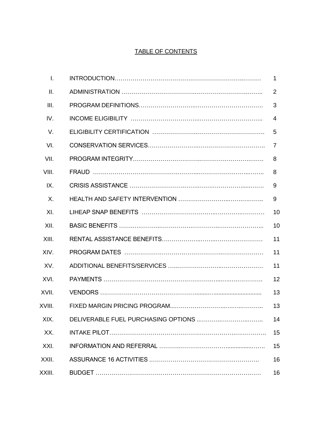## TABLE OF CONTENTS

| $\mathbf{L}$ | 1. |
|--------------|----|
| II.          | 2  |
| III.         | 3  |
| IV.          | 4  |
| V.           | 5  |
| VI.          | 7  |
| VII.         | 8  |
| VIII.        | 8  |
| IX.          | 9  |
| X.           | 9  |
| XI.          | 10 |
| XII.         | 10 |
| XIII.        | 11 |
| XIV.         | 11 |
| XV.          | 11 |
| XVI.         | 12 |
| XVII.        | 13 |
| XVIII.       | 13 |
| XIX.         | 14 |
| XX.          | 15 |
| XXI.         | 15 |
| XXII.        | 16 |
| XXIII.       | 16 |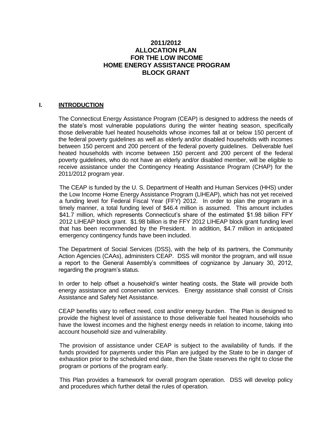## **2011/2012 ALLOCATION PLAN FOR THE LOW INCOME HOME ENERGY ASSISTANCE PROGRAM BLOCK GRANT**

#### **I. INTRODUCTION**

The Connecticut Energy Assistance Program (CEAP) is designed to address the needs of the state's most vulnerable populations during the winter heating season, specifically those deliverable fuel heated households whose incomes fall at or below 150 percent of the federal poverty guidelines as well as elderly and/or disabled households with incomes between 150 percent and 200 percent of the federal poverty guidelines. Deliverable fuel heated households with income between 150 percent and 200 percent of the federal poverty guidelines, who do not have an elderly and/or disabled member, will be eligible to receive assistance under the Contingency Heating Assistance Program (CHAP) for the 2011/2012 program year.

The CEAP is funded by the U. S. Department of Health and Human Services (HHS) under the Low Income Home Energy Assistance Program (LIHEAP), which has not yet received a funding level for Federal Fiscal Year (FFY) 2012. In order to plan the program in a timely manner, a total funding level of \$46.4 million is assumed. This amount includes \$41.7 million, which represents Connecticut's share of the estimated \$1.98 billion FFY 2012 LIHEAP block grant. \$1.98 billion is the FFY 2012 LIHEAP block grant funding level that has been recommended by the President. In addition, \$4.7 million in anticipated emergency contingency funds have been included.

The Department of Social Services (DSS), with the help of its partners, the Community Action Agencies (CAAs), administers CEAP. DSS will monitor the program, and will issue a report to the General Assembly's committees of cognizance by January 30, 2012, regarding the program's status.

In order to help offset a household's winter heating costs, the State will provide both energy assistance and conservation services. Energy assistance shall consist of Crisis Assistance and Safety Net Assistance.

CEAP benefits vary to reflect need, cost and/or energy burden. The Plan is designed to provide the highest level of assistance to those deliverable fuel heated households who have the lowest incomes and the highest energy needs in relation to income, taking into account household size and vulnerability.

The provision of assistance under CEAP is subject to the availability of funds. If the funds provided for payments under this Plan are judged by the State to be in danger of exhaustion prior to the scheduled end date, then the State reserves the right to close the program or portions of the program early.

This Plan provides a framework for overall program operation. DSS will develop policy and procedures which further detail the rules of operation.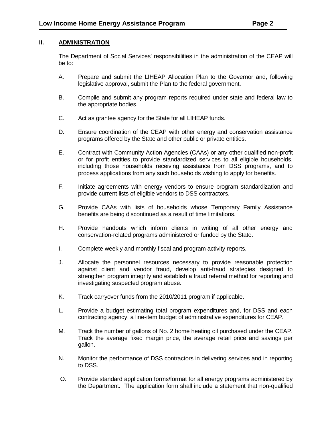## **II. ADMINISTRATION**

The Department of Social Services' responsibilities in the administration of the CEAP will be to:

- A. Prepare and submit the LIHEAP Allocation Plan to the Governor and, following legislative approval, submit the Plan to the federal government.
- B. Compile and submit any program reports required under state and federal law to the appropriate bodies.
- C. Act as grantee agency for the State for all LIHEAP funds.
- D. Ensure coordination of the CEAP with other energy and conservation assistance programs offered by the State and other public or private entities.
- E. Contract with Community Action Agencies (CAAs) or any other qualified non-profit or for profit entities to provide standardized services to all eligible households, including those households receiving assistance from DSS programs, and to process applications from any such households wishing to apply for benefits.
- F. Initiate agreements with energy vendors to ensure program standardization and provide current lists of eligible vendors to DSS contractors.
- G. Provide CAAs with lists of households whose Temporary Family Assistance benefits are being discontinued as a result of time limitations.
- H. Provide handouts which inform clients in writing of all other energy and conservation-related programs administered or funded by the State.
- I. Complete weekly and monthly fiscal and program activity reports.
- J. Allocate the personnel resources necessary to provide reasonable protection against client and vendor fraud, develop anti-fraud strategies designed to strengthen program integrity and establish a fraud referral method for reporting and investigating suspected program abuse.
- K. Track carryover funds from the 2010/2011 program if applicable.
- L. Provide a budget estimating total program expenditures and, for DSS and each contracting agency, a line-item budget of administrative expenditures for CEAP.
- M. Track the number of gallons of No. 2 home heating oil purchased under the CEAP. Track the average fixed margin price, the average retail price and savings per gallon.
- N. Monitor the performance of DSS contractors in delivering services and in reporting to DSS.
- O. Provide standard application forms/format for all energy programs administered by the Department. The application form shall include a statement that non-qualified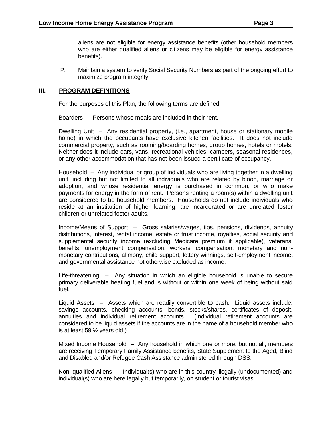P. Maintain a system to verify Social Security Numbers as part of the ongoing effort to maximize program integrity.

#### **III. PROGRAM DEFINITIONS**

For the purposes of this Plan, the following terms are defined:

Boarders – Persons whose meals are included in their rent.

Dwelling Unit – Any residential property, (i.e., apartment, house or stationary mobile home) in which the occupants have exclusive kitchen facilities. It does not include commercial property, such as rooming/boarding homes, group homes, hotels or motels. Neither does it include cars, vans, recreational vehicles, campers, seasonal residences, or any other accommodation that has not been issued a certificate of occupancy.

Household – Any individual or group of individuals who are living together in a dwelling unit, including but not limited to all individuals who are related by blood, marriage or adoption, and whose residential energy is purchased in common, or who make payments for energy in the form of rent. Persons renting a room(s) within a dwelling unit are considered to be household members. Households do not include individuals who reside at an institution of higher learning, are incarcerated or are unrelated foster children or unrelated foster adults.

Income/Means of Support – Gross salaries/wages, tips, pensions, dividends, annuity distributions, interest, rental income, estate or trust income, royalties, social security and supplemental security income (excluding Medicare premium if applicable), veterans' benefits, unemployment compensation, workers' compensation, monetary and nonmonetary contributions, alimony, child support, lottery winnings, self-employment income, and governmental assistance not otherwise excluded as income.

Life-threatening – Any situation in which an eligible household is unable to secure primary deliverable heating fuel and is without or within one week of being without said fuel.

Liquid Assets – Assets which are readily convertible to cash. Liquid assets include: savings accounts, checking accounts, bonds, stocks/shares, certificates of deposit, annuities and individual retirement accounts. (Individual retirement accounts are considered to be liquid assets if the accounts are in the name of a household member who is at least 59  $\frac{1}{2}$  years old.)

Mixed Income Household – Any household in which one or more, but not all, members are receiving Temporary Family Assistance benefits, State Supplement to the Aged, Blind and Disabled and/or Refugee Cash Assistance administered through DSS.

Non–qualified Aliens – Individual(s) who are in this country illegally (undocumented) and individual(s) who are here legally but temporarily, on student or tourist visas.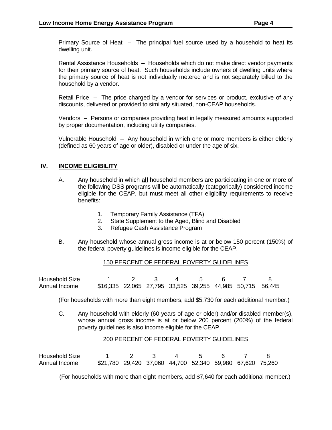Primary Source of Heat – The principal fuel source used by a household to heat its dwelling unit.

Rental Assistance Households – Households which do not make direct vendor payments for their primary source of heat. Such households include owners of dwelling units where the primary source of heat is not individually metered and is not separately billed to the household by a vendor.

Retail Price – The price charged by a vendor for services or product, exclusive of any discounts, delivered or provided to similarly situated, non-CEAP households.

Vendors – Persons or companies providing heat in legally measured amounts supported by proper documentation, including utility companies.

Vulnerable Household – Any household in which one or more members is either elderly (defined as 60 years of age or older), disabled or under the age of six.

#### **IV. INCOME ELIGIBILITY**

- A. Any household in which **all** household members are participating in one or more of the following DSS programs will be automatically (categorically) considered income eligible for the CEAP, but must meet all other eligibility requirements to receive benefits:
	- 1. Temporary Family Assistance (TFA)
	- 2. State Supplement to the Aged, Blind and Disabled
	- 3. Refugee Cash Assistance Program
- B. Any household whose annual gross income is at or below 150 percent (150%) of the federal poverty guidelines is income eligible for the CEAP.

#### 150 PERCENT OF FEDERAL POVERTY GUIDELINES

| Household Size |                                                           |  |  |  |  |
|----------------|-----------------------------------------------------------|--|--|--|--|
| Annual Income  | \$16,335 22,065 27,795 33,525 39,255 44,985 50,715 56,445 |  |  |  |  |

(For households with more than eight members, add \$5,730 for each additional member.)

C. Any household with elderly (60 years of age or older) and/or disabled member(s), whose annual gross income is at or below 200 percent (200%) of the federal poverty guidelines is also income eligible for the CEAP.

#### 200 PERCENT OF FEDERAL POVERTY GUIDELINES

Household Size 1 2 3 4 5 6 7 8 Annual Income \$21,780 29,420 37,060 44,700 52,340 59,980 67,620 75,260

(For households with more than eight members, add \$7,640 for each additional member.)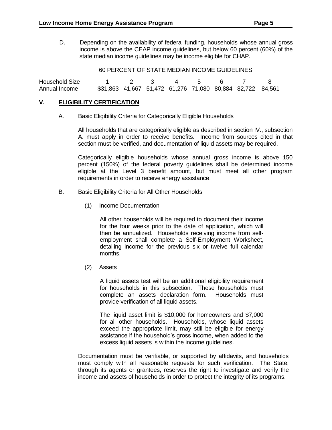D. Depending on the availability of federal funding, households whose annual gross income is above the CEAP income guidelines, but below 60 percent (60%) of the state median income guidelines may be income eligible for CHAP.

#### 60 PERCENT OF STATE MEDIAN INCOME GUIDELINES

| <b>Household Size</b> | 1 2 3 4 5 6 7 8                                           |  |  |  |  |
|-----------------------|-----------------------------------------------------------|--|--|--|--|
| Annual Income         | \$31,863 41,667 51,472 61,276 71,080 80,884 82,722 84,561 |  |  |  |  |

#### **V. ELIGIBILITY CERTIFICATION**

A. Basic Eligibility Criteria for Categorically Eligible Households

All households that are categorically eligible as described in section IV., subsection A. must apply in order to receive benefits. Income from sources cited in that section must be verified, and documentation of liquid assets may be required.

Categorically eligible households whose annual gross income is above 150 percent (150%) of the federal poverty guidelines shall be determined income eligible at the Level 3 benefit amount, but must meet all other program requirements in order to receive energy assistance.

- B. Basic Eligibility Criteria for All Other Households
	- (1) Income Documentation

All other households will be required to document their income for the four weeks prior to the date of application, which will then be annualized. Households receiving income from selfemployment shall complete a Self-Employment Worksheet, detailing income for the previous six or twelve full calendar months.

(2) Assets

A liquid assets test will be an additional eligibility requirement for households in this subsection. These households must complete an assets declaration form. Households must provide verification of all liquid assets.

The liquid asset limit is \$10,000 for homeowners and \$7,000 for all other households. Households, whose liquid assets exceed the appropriate limit, may still be eligible for energy assistance if the household's gross income, when added to the excess liquid assets is within the income guidelines.

Documentation must be verifiable, or supported by affidavits, and households must comply with all reasonable requests for such verification. The State, through its agents or grantees, reserves the right to investigate and verify the income and assets of households in order to protect the integrity of its programs.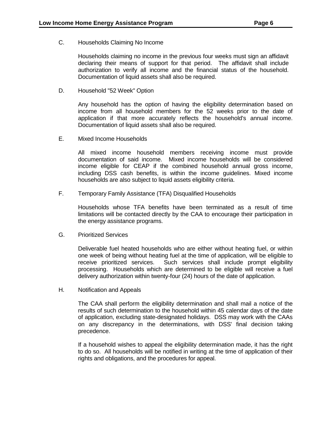C. Households Claiming No Income

Households claiming no income in the previous four weeks must sign an affidavit declaring their means of support for that period. The affidavit shall include authorization to verify all income and the financial status of the household. Documentation of liquid assets shall also be required.

D. Household "52 Week" Option

Any household has the option of having the eligibility determination based on income from all household members for the 52 weeks prior to the date of application if that more accurately reflects the household's annual income. Documentation of liquid assets shall also be required.

E. Mixed Income Households

All mixed income household members receiving income must provide documentation of said income. Mixed income households will be considered income eligible for CEAP if the combined household annual gross income, including DSS cash benefits, is within the income guidelines. Mixed income households are also subject to liquid assets eligibility criteria.

F. Temporary Family Assistance (TFA) Disqualified Households

Households whose TFA benefits have been terminated as a result of time limitations will be contacted directly by the CAA to encourage their participation in the energy assistance programs.

G. Prioritized Services

Deliverable fuel heated households who are either without heating fuel, or within one week of being without heating fuel at the time of application, will be eligible to receive prioritized services. Such services shall include prompt eligibility processing. Households which are determined to be eligible will receive a fuel delivery authorization within twenty-four (24) hours of the date of application.

H. Notification and Appeals

The CAA shall perform the eligibility determination and shall mail a notice of the results of such determination to the household within 45 calendar days of the date of application, excluding state-designated holidays. DSS may work with the CAAs on any discrepancy in the determinations, with DSS' final decision taking precedence.

If a household wishes to appeal the eligibility determination made, it has the right to do so. All households will be notified in writing at the time of application of their rights and obligations, and the procedures for appeal.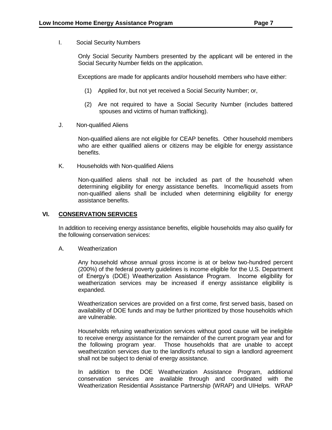I. Social Security Numbers

Only Social Security Numbers presented by the applicant will be entered in the Social Security Number fields on the application.

Exceptions are made for applicants and/or household members who have either:

- (1) Applied for, but not yet received a Social Security Number; or,
- (2) Are not required to have a Social Security Number (includes battered spouses and victims of human trafficking).
- J. Non-qualified Aliens

Non-qualified aliens are not eligible for CEAP benefits. Other household members who are either qualified aliens or citizens may be eligible for energy assistance benefits.

K. Households with Non-qualified Aliens

Non-qualified aliens shall not be included as part of the household when determining eligibility for energy assistance benefits. Income/liquid assets from non-qualified aliens shall be included when determining eligibility for energy assistance benefits.

#### **VI. CONSERVATION SERVICES**

In addition to receiving energy assistance benefits, eligible households may also qualify for the following conservation services:

A. Weatherization

Any household whose annual gross income is at or below two-hundred percent (200%) of the federal poverty guidelines is income eligible for the U.S. Department of Energy's (DOE) Weatherization Assistance Program. Income eligibility for weatherization services may be increased if energy assistance eligibility is expanded.

Weatherization services are provided on a first come, first served basis, based on availability of DOE funds and may be further prioritized by those households which are vulnerable.

Households refusing weatherization services without good cause will be ineligible to receive energy assistance for the remainder of the current program year and for the following program year. Those households that are unable to accept weatherization services due to the landlord's refusal to sign a landlord agreement shall not be subject to denial of energy assistance.

In addition to the DOE Weatherization Assistance Program, additional conservation services are available through and coordinated with the Weatherization Residential Assistance Partnership (WRAP) and UIHelps. WRAP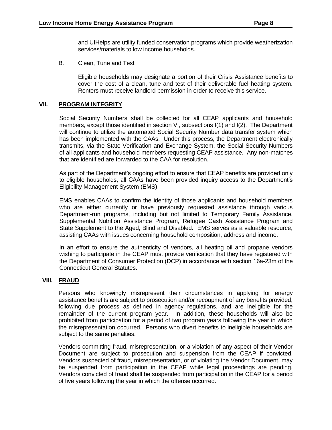B. Clean, Tune and Test

Eligible households may designate a portion of their Crisis Assistance benefits to cover the cost of a clean, tune and test of their deliverable fuel heating system. Renters must receive landlord permission in order to receive this service.

#### **VII. PROGRAM INTEGRITY**

Social Security Numbers shall be collected for all CEAP applicants and household members, except those identified in section V., subsections I(1) and I(2). The Department will continue to utilize the automated Social Security Number data transfer system which has been implemented with the CAAs. Under this process, the Department electronically transmits, via the State Verification and Exchange System, the Social Security Numbers of all applicants and household members requesting CEAP assistance. Any non-matches that are identified are forwarded to the CAA for resolution.

As part of the Department's ongoing effort to ensure that CEAP benefits are provided only to eligible households, all CAAs have been provided inquiry access to the Department's Eligibility Management System (EMS).

EMS enables CAAs to confirm the identity of those applicants and household members who are either currently or have previously requested assistance through various Department-run programs, including but not limited to Temporary Family Assistance, Supplemental Nutrition Assistance Program, Refugee Cash Assistance Program and State Supplement to the Aged, Blind and Disabled. EMS serves as a valuable resource, assisting CAAs with issues concerning household composition, address and income.

In an effort to ensure the authenticity of vendors, all heating oil and propane vendors wishing to participate in the CEAP must provide verification that they have registered with the Department of Consumer Protection (DCP) in accordance with section 16a-23m of the Connecticut General Statutes.

#### **VIII. FRAUD**

Persons who knowingly misrepresent their circumstances in applying for energy assistance benefits are subject to prosecution and/or recoupment of any benefits provided, following due process as defined in agency regulations, and are ineligible for the remainder of the current program year. In addition, these households will also be prohibited from participation for a period of two program years following the year in which the misrepresentation occurred. Persons who divert benefits to ineligible households are subject to the same penalties.

Vendors committing fraud, misrepresentation, or a violation of any aspect of their Vendor Document are subject to prosecution and suspension from the CEAP if convicted. Vendors suspected of fraud, misrepresentation, or of violating the Vendor Document, may be suspended from participation in the CEAP while legal proceedings are pending. Vendors convicted of fraud shall be suspended from participation in the CEAP for a period of five years following the year in which the offense occurred.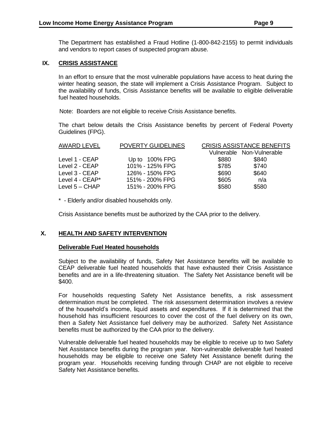The Department has established a Fraud Hotline (1-800-842-2155) to permit individuals and vendors to report cases of suspected program abuse.

#### **IX. CRISIS ASSISTANCE**

In an effort to ensure that the most vulnerable populations have access to heat during the winter heating season, the state will implement a Crisis Assistance Program. Subject to the availability of funds, Crisis Assistance benefits will be available to eligible deliverable fuel heated households.

Note: Boarders are not eligible to receive Crisis Assistance benefits.

The chart below details the Crisis Assistance benefits by percent of Federal Poverty Guidelines (FPG).

| Vulnerable Non-Vulnerable<br>\$840<br>\$880<br>Up to $100\%$ FPG<br>Level 1 - CEAP<br>\$740<br>101% - 125% FPG<br>\$785<br>Level 2 - CEAP<br>\$690<br>\$640<br>126% - 150% FPG<br>Level 3 - CEAP<br>\$605<br>Level $4 - CEAP^*$<br>151% - 200% FPG<br>n/a<br>\$580<br>\$580<br>151% - 200% FPG<br>Level $5 - CHAP$ | AWARD LEVEL | <b>POVERTY GUIDELINES</b> | <b>CRISIS ASSISTANCE BENEFITS</b> |  |
|--------------------------------------------------------------------------------------------------------------------------------------------------------------------------------------------------------------------------------------------------------------------------------------------------------------------|-------------|---------------------------|-----------------------------------|--|
|                                                                                                                                                                                                                                                                                                                    |             |                           |                                   |  |
|                                                                                                                                                                                                                                                                                                                    |             |                           |                                   |  |
|                                                                                                                                                                                                                                                                                                                    |             |                           |                                   |  |
|                                                                                                                                                                                                                                                                                                                    |             |                           |                                   |  |
|                                                                                                                                                                                                                                                                                                                    |             |                           |                                   |  |
|                                                                                                                                                                                                                                                                                                                    |             |                           |                                   |  |

\* - Elderly and/or disabled households only.

Crisis Assistance benefits must be authorized by the CAA prior to the delivery.

#### **X. HEALTH AND SAFETY INTERVENTION**

#### **Deliverable Fuel Heated households**

Subject to the availability of funds, Safety Net Assistance benefits will be available to CEAP deliverable fuel heated households that have exhausted their Crisis Assistance benefits and are in a life-threatening situation. The Safety Net Assistance benefit will be \$400.

For households requesting Safety Net Assistance benefits, a risk assessment determination must be completed. The risk assessment determination involves a review of the household's income, liquid assets and expenditures. If it is determined that the household has insufficient resources to cover the cost of the fuel delivery on its own, then a Safety Net Assistance fuel delivery may be authorized. Safety Net Assistance benefits must be authorized by the CAA prior to the delivery.

Vulnerable deliverable fuel heated households may be eligible to receive up to two Safety Net Assistance benefits during the program year. Non-vulnerable deliverable fuel heated households may be eligible to receive one Safety Net Assistance benefit during the program year. Households receiving funding through CHAP are not eligible to receive Safety Net Assistance benefits.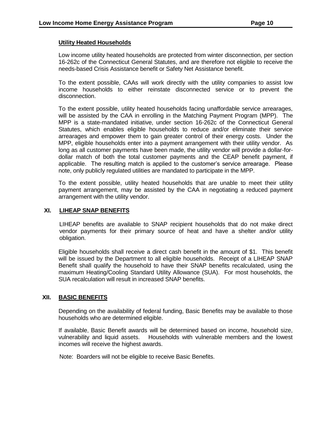#### **Utility Heated Households**

Low income utility heated households are protected from winter disconnection, per section 16-262c of the Connecticut General Statutes, and are therefore not eligible to receive the needs-based Crisis Assistance benefit or Safety Net Assistance benefit.

To the extent possible, CAAs will work directly with the utility companies to assist low income households to either reinstate disconnected service or to prevent the disconnection.

To the extent possible, utility heated households facing unaffordable service arrearages, will be assisted by the CAA in enrolling in the Matching Payment Program (MPP). The MPP is a state-mandated initiative, under section 16-262c of the Connecticut General Statutes, which enables eligible households to reduce and/or eliminate their service arrearages and empower them to gain greater control of their energy costs. Under the MPP, eligible households enter into a payment arrangement with their utility vendor. As long as all customer payments have been made, the utility vendor will provide a dollar-fordollar match of both the total customer payments and the CEAP benefit payment, if applicable. The resulting match is applied to the customer's service arrearage. Please note, only publicly regulated utilities are mandated to participate in the MPP.

To the extent possible, utility heated households that are unable to meet their utility payment arrangement, may be assisted by the CAA in negotiating a reduced payment arrangement with the utility vendor.

#### **XI. LIHEAP SNAP BENEFITS**

LIHEAP benefits are available to SNAP recipient households that do not make direct vendor payments for their primary source of heat and have a shelter and/or utility obligation.

Eligible households shall receive a direct cash benefit in the amount of \$1. This benefit will be issued by the Department to all eligible households. Receipt of a LIHEAP SNAP Benefit shall qualify the household to have their SNAP benefits recalculated, using the maximum Heating/Cooling Standard Utility Allowance (SUA). For most households, the SUA recalculation will result in increased SNAP benefits.

## **XII. BASIC BENEFITS**

Depending on the availability of federal funding, Basic Benefits may be available to those households who are determined eligible.

If available, Basic Benefit awards will be determined based on income, household size, vulnerability and liquid assets. Households with vulnerable members and the lowest incomes will receive the highest awards.

Note: Boarders will not be eligible to receive Basic Benefits.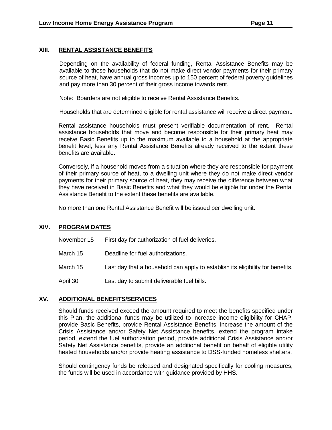#### **XIII. RENTAL ASSISTANCE BENEFITS**

Depending on the availability of federal funding, Rental Assistance Benefits may be available to those households that do not make direct vendor payments for their primary source of heat, have annual gross incomes up to 150 percent of federal poverty guidelines and pay more than 30 percent of their gross income towards rent.

Note: Boarders are not eligible to receive Rental Assistance Benefits.

Households that are determined eligible for rental assistance will receive a direct payment.

Rental assistance households must present verifiable documentation of rent. Rental assistance households that move and become responsible for their primary heat may receive Basic Benefits up to the maximum available to a household at the appropriate benefit level, less any Rental Assistance Benefits already received to the extent these benefits are available.

Conversely, if a household moves from a situation where they are responsible for payment of their primary source of heat, to a dwelling unit where they do not make direct vendor payments for their primary source of heat, they may receive the difference between what they have received in Basic Benefits and what they would be eligible for under the Rental Assistance Benefit to the extent these benefits are available.

No more than one Rental Assistance Benefit will be issued per dwelling unit.

#### **XIV. PROGRAM DATES**

November 15 First day for authorization of fuel deliveries.

- March 15 Deadline for fuel authorizations.
- March 15 Last day that a household can apply to establish its eligibility for benefits.
- April 30 Last day to submit deliverable fuel bills.

#### **XV. ADDITIONAL BENEFITS/SERVICES**

Should funds received exceed the amount required to meet the benefits specified under this Plan, the additional funds may be utilized to increase income eligibility for CHAP, provide Basic Benefits, provide Rental Assistance Benefits, increase the amount of the Crisis Assistance and/or Safety Net Assistance benefits, extend the program intake period, extend the fuel authorization period, provide additional Crisis Assistance and/or Safety Net Assistance benefits, provide an additional benefit on behalf of eligible utility heated households and/or provide heating assistance to DSS-funded homeless shelters.

Should contingency funds be released and designated specifically for cooling measures, the funds will be used in accordance with guidance provided by HHS.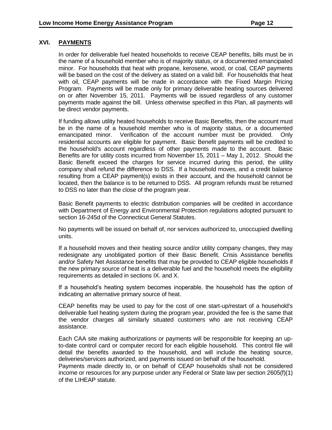## **XVI. PAYMENTS**

In order for deliverable fuel heated households to receive CEAP benefits, bills must be in the name of a household member who is of majority status, or a documented emancipated minor. For households that heat with propane, kerosene, wood, or coal, CEAP payments will be based on the cost of the delivery as stated on a valid bill. For households that heat with oil, CEAP payments will be made in accordance with the Fixed Margin Pricing Program. Payments will be made only for primary deliverable heating sources delivered on or after November 15, 2011. Payments will be issued regardless of any customer payments made against the bill. Unless otherwise specified in this Plan, all payments will be direct vendor payments.

If funding allows utility heated households to receive Basic Benefits, then the account must be in the name of a household member who is of majority status, or a documented emancipated minor. Verification of the account number must be provided. Only residential accounts are eligible for payment. Basic Benefit payments will be credited to the household's account regardless of other payments made to the account. Basic Benefits are for utility costs incurred from November 15, 2011 – May 1, 2012. Should the Basic Benefit exceed the charges for service incurred during this period, the utility company shall refund the difference to DSS. If a household moves, and a credit balance resulting from a CEAP payment(s) exists in their account, and the household cannot be located, then the balance is to be returned to DSS. All program refunds must be returned to DSS no later than the close of the program year.

Basic Benefit payments to electric distribution companies will be credited in accordance with Department of Energy and Environmental Protection regulations adopted pursuant to section 16-245d of the Connecticut General Statutes.

No payments will be issued on behalf of, nor services authorized to, unoccupied dwelling units.

If a household moves and their heating source and/or utility company changes, they may redesignate any unobligated portion of their Basic Benefit. Crisis Assistance benefits and/or Safety Net Assistance benefits that may be provided to CEAP eligible households if the new primary source of heat is a deliverable fuel and the household meets the eligibility requirements as detailed in sections IX. and X.

If a household's heating system becomes inoperable, the household has the option of indicating an alternative primary source of heat.

CEAP benefits may be used to pay for the cost of one start-up/restart of a household's deliverable fuel heating system during the program year, provided the fee is the same that the vendor charges all similarly situated customers who are not receiving CEAP assistance.

Each CAA site making authorizations or payments will be responsible for keeping an upto-date control card or computer record for each eligible household. This control file will detail the benefits awarded to the household, and will include the heating source, deliveries/services authorized, and payments issued on behalf of the household.

Payments made directly to, or on behalf of CEAP households shall not be considered income or resources for any purpose under any Federal or State law per section 2605(f)(1) of the LIHEAP statute.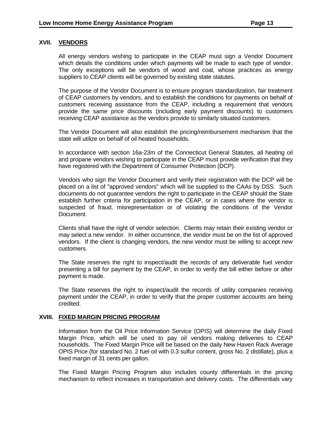#### **XVII. VENDORS**

All energy vendors wishing to participate in the CEAP must sign a Vendor Document which details the conditions under which payments will be made to each type of vendor. The only exceptions will be vendors of wood and coal, whose practices as energy suppliers to CEAP clients will be governed by existing state statutes.

The purpose of the Vendor Document is to ensure program standardization, fair treatment of CEAP customers by vendors, and to establish the conditions for payments on behalf of customers receiving assistance from the CEAP, including a requirement that vendors provide the same price discounts (including early payment discounts) to customers receiving CEAP assistance as the vendors provide to similarly situated customers.

The Vendor Document will also establish the pricing/reimbursement mechanism that the state will utilize on behalf of oil heated households.

In accordance with section 16a-23m of the Connecticut General Statutes, all heating oil and propane vendors wishing to participate in the CEAP must provide verification that they have registered with the Department of Consumer Protection (DCP).

Vendors who sign the Vendor Document and verify their registration with the DCP will be placed on a list of "approved vendors" which will be supplied to the CAAs by DSS. Such documents do not guarantee vendors the right to participate in the CEAP should the State establish further criteria for participation in the CEAP, or in cases where the vendor is suspected of fraud, misrepresentation or of violating the conditions of the Vendor Document.

Clients shall have the right of vendor selection. Clients may retain their existing vendor or may select a new vendor. In either occurrence, the vendor must be on the list of approved vendors. If the client is changing vendors, the new vendor must be willing to accept new customers.

The State reserves the right to inspect/audit the records of any deliverable fuel vendor presenting a bill for payment by the CEAP, in order to verify the bill either before or after payment is made.

The State reserves the right to inspect/audit the records of utility companies receiving payment under the CEAP, in order to verify that the proper customer accounts are being credited.

#### **XVIII. FIXED MARGIN PRICING PROGRAM**

Information from the Oil Price Information Service (OPIS) will determine the daily Fixed Margin Price, which will be used to pay oil vendors making deliveries to CEAP households. The Fixed Margin Price will be based on the daily New Haven Rack Average OPIS Price (for standard No. 2 fuel oil with 0.3 sulfur content, gross No. 2 distillate), plus a fixed margin of 31 cents per gallon.

The Fixed Margin Pricing Program also includes county differentials in the pricing mechanism to reflect increases in transportation and delivery costs. The differentials vary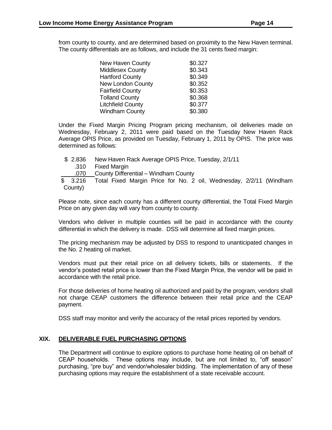from county to county, and are determined based on proximity to the New Haven terminal. The county differentials are as follows, and include the 31 cents fixed margin:

| <b>New Haven County</b>  | \$0.327 |
|--------------------------|---------|
| Middlesex County         | \$0.343 |
| <b>Hartford County</b>   | \$0.349 |
| <b>New London County</b> | \$0.352 |
| <b>Fairfield County</b>  | \$0.353 |
| <b>Tolland County</b>    | \$0.368 |
| <b>Litchfield County</b> | \$0.377 |
| <b>Windham County</b>    | \$0.380 |
|                          |         |

Under the Fixed Margin Pricing Program pricing mechanism, oil deliveries made on Wednesday, February 2, 2011 were paid based on the Tuesday New Haven Rack Average OPIS Price, as provided on Tuesday, February 1, 2011 by OPIS. The price was determined as follows:

- \$ 2.836 New Haven Rack Average OPIS Price, Tuesday, 2/1/11
	- .310 Fixed Margin
		- .070 County Differential Windham County

\$ 3.216 Total Fixed Margin Price for No. 2 oil, Wednesday, 2/2/11 (Windham County)

Please note, since each county has a different county differential, the Total Fixed Margin Price on any given day will vary from county to county.

Vendors who deliver in multiple counties will be paid in accordance with the county differential in which the delivery is made. DSS will determine all fixed margin prices.

The pricing mechanism may be adjusted by DSS to respond to unanticipated changes in the No. 2 heating oil market.

Vendors must put their retail price on all delivery tickets, bills or statements. If the vendor's posted retail price is lower than the Fixed Margin Price, the vendor will be paid in accordance with the retail price.

For those deliveries of home heating oil authorized and paid by the program, vendors shall not charge CEAP customers the difference between their retail price and the CEAP payment.

DSS staff may monitor and verify the accuracy of the retail prices reported by vendors.

#### **XIX. DELIVERABLE FUEL PURCHASING OPTIONS**

The Department will continue to explore options to purchase home heating oil on behalf of CEAP households. These options may include, but are not limited to, "off season" purchasing, "pre buy" and vendor/wholesaler bidding. The implementation of any of these purchasing options may require the establishment of a state receivable account.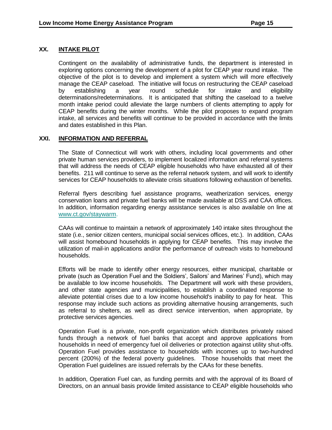## **XX. INTAKE PILOT**

Contingent on the availability of administrative funds, the department is interested in exploring options concerning the development of a pilot for CEAP year round intake. The objective of the pilot is to develop and implement a system which will more effectively manage the CEAP caseload. The initiative will focus on restructuring the CEAP caseload by establishing a year round schedule for intake and eligibility determinations/redeterminations. It is anticipated that shifting the caseload to a twelve month intake period could alleviate the large numbers of clients attempting to apply for CEAP benefits during the winter months. While the pilot proposes to expand program intake, all services and benefits will continue to be provided in accordance with the limits and dates established in this Plan.

#### **XXI. INFORMATION AND REFERRAL**

The State of Connecticut will work with others, including local governments and other private human services providers, to implement localized information and referral systems that will address the needs of CEAP eligible households who have exhausted all of their benefits. 211 will continue to serve as the referral network system, and will work to identify services for CEAP households to alleviate crisis situations following exhaustion of benefits.

Referral flyers describing fuel assistance programs, weatherization services, energy conservation loans and private fuel banks will be made available at DSS and CAA offices. In addition, information regarding energy assistance services is also available on line at [www.ct.gov/staywarm.](http://www.ct.gov/staywarm)

CAAs will continue to maintain a network of approximately 140 intake sites throughout the state (i.e., senior citizen centers, municipal social services offices, etc.). In addition, CAAs will assist homebound households in applying for CEAP benefits. This may involve the utilization of mail-in applications and/or the performance of outreach visits to homebound households.

Efforts will be made to identify other energy resources, either municipal, charitable or private (such as Operation Fuel and the Soldiers', Sailors' and Marines' Fund), which may be available to low income households. The Department will work with these providers, and other state agencies and municipalities, to establish a coordinated response to alleviate potential crises due to a low income household's inability to pay for heat. This response may include such actions as providing alternative housing arrangements, such as referral to shelters, as well as direct service intervention, when appropriate, by protective services agencies.

Operation Fuel is a private, non-profit organization which distributes privately raised funds through a network of fuel banks that accept and approve applications from households in need of emergency fuel oil deliveries or protection against utility shut-offs. Operation Fuel provides assistance to households with incomes up to two-hundred percent (200%) of the federal poverty guidelines. Those households that meet the Operation Fuel guidelines are issued referrals by the CAAs for these benefits.

In addition, Operation Fuel can, as funding permits and with the approval of its Board of Directors, on an annual basis provide limited assistance to CEAP eligible households who